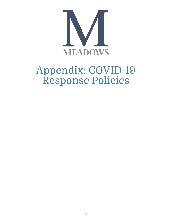

# Appendix: COVID-19 Response Policies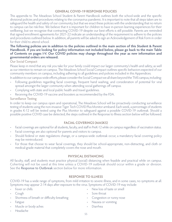### **GENERAL COVID-19 RESPONSE POLICIES**

This appendix to The Meadows School Student & Parent Handbook outlines both the school-wide and the specific divisional policies and procedures relating to the coronavirus pandemic. It is important to note that all steps taken are to safeguard the health and safety of our community, but that we enact these policies with the understanding that no return to campus can be risk-free. We believe that it is important for children to have in-person learning experiences for their wellbeing, but we recognize that contracting COVID-19 despite our best efforts is still possible. Parents are reminded that signed enrollment agreements for 2021-22 indicate an understanding of the requirement to adhere to the policies and procedures outlined below. In addition, all parents will be asked to sign an Acknowledgement of Risk Form in order for their child to attend school.

#### **The following policies are in addition to the policies outlined in the main section of this Student & Parent Handbook. If you are looking for policy information not included below, please go back to the main Table of Contents on pages I-V. Our COVID policies may change throughout the year as new information and governmental orders are released.**

# Our Social Compact

Please keep in mind that any risk you take for your family could impact our larger community's health and safety, as well as our intention to remain on campus. The Meadows School Social Compact outlines specific behaviors expected of our community members on campus, including adhering to all guidelines and policies included in this Appendices.

In addition to our campus-wide efforts, please consider the Social Compact we all share beyond the TMS campus, including: • Following guidelines regarding facial coverings, frequent hand washing, and consideration of potential for viral spread amongst the larger community when attending social gatherings off campus.

- Complying with state and local public health and travel guidelines.
- Receiving the COVID-19 vaccine and boosters as recommended by the FDA.

# Surveillance Testing

In order to keep our campus open and operational, The Meadows School will be proactively conducting surveillance testing of students using the non-invasive Tiger Tech COVID Plus Monitor armband. Each week, a percentage of students in grades K-12 will be tested using the Plus Monitor to safeguard against a possible COVID-19 outbreak. Should a possible positive COVID case be detected, the steps outlined in the Response to Illness section below will be followed.

# **FACIAL COVERINGS (MASKS)**

- Facial coverings are optional for all students, faculty, and staff in PreK-12 while on campus regardless of vaccination status.
- Facial coverings are also optional for parents and visitors to campus.
- Should federal or state regulations change, or a campus-wide outbreak occur, a mandatory facial covering policy may be reintroduced.
- For those that choose to wear facial coverings, they should be school-appropriate, non-distracting, and cloth or medical-grade material that completely covers the nose and mouth.

# **PHYSICAL DISTANCING**

All faculty, staff, and students must practice physical (social) distancing when feasible and practical while on campus. Coherting will not be used at this time unless a COVID-19 outbreak should occur within a grade or division. See the Response to Outbreak section below for more information.

# **RESPONSE TO ILLNESS**

COVID-19 has a wide range of symptoms, from mild irritation to severe illness, and in some cases, no symptoms at all. Symptoms may appear 2-14 days after exposure to the virus. Symptoms of COVID-19 may include:

- Fever or chills
- Cough
- Shortness of breath or difficulty breathing
- **Fatigue**
- Muscle or body aches
- Headache
- New loss of taste or smell
- Sore throat
- Congestion or runny nose
- Nausea or vomiting
- Diarrhea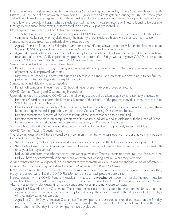In all cases where a positive test is made, The Meadows School will report the findings to the Southern Nevada Health District (SNHD). The policies below are drawn from CDC guidelines and data gathered during the 2020-21 school year and will be followed to the degree that is both reasonable and actionable in accordance with local public health officials. The following protocols will apply when a student or staff member shows symptoms of illness, is found to be positive through routine surveillance testing, or is exposed to a COVID-19 positive individual.

On-campus testing with the COVID Plus monitoring device

• The School utilizes FDA emergency use approved COVID monitoring devices to surveillance test 10% of our community daily, along with regularly testing the majority of our student-athletes while their sport is in season.

Symptomatic or asymptomatic individual who tests positive

- Ages 5+: Remain off campus for 5 days from symptom onset AND only allowed to return 24 hours after fever resolution (if present) AND improved symptoms. Follow by 5 days of strict mask wearing on campus.
- Ages 3-4: Remain off campus for 10 days from symptom onset AND only allowed to return 24 hours after fever resolution (if present) AND improved symptoms. May return after 7 days with a negative COVID test result on day 5 AND fever resolution (if present) AND improved symptoms.

Symptomatic individual who has not been tested

- Remain off campus for 10 days from symptom onset AND only allow to return 24 hours after fever resolution (if present) AND improved symptoms.
- May return to school if a doctor establishes an alternative diagnosis and presents a doctor's note to confirm the presence of alternate diagnosis that explains symptoms.

Symptomatic individual who tests negative

- Remain off campus until fever-free for 24 hours (if fever present) AND improved symptoms.
- COVID Contact Tracing and Quarantining Procedures

Upon identification of a positive COVID test, the following actions will be taken as quickly as reasonably practicable.

- 1. Pandemic Coordinator informs the Divisional Director of the identity of the positive individual, then reaches out to SNHD to report the positive case.
- 2. Director (or, if the positive case is a Division Director, the Head of School) will reach out to the individual, send them home to be quarantined if applicable, and fill out the Contact Tracing Questionnaire below.
- 3. Director contacts the Director of Facilities to inform of the spaces that need to be sanitized.
- 4. Director contacts the close, on-campus contacts of the positive individual and, in dialogue with the Head of School, issues appropriate and situation-specific surveillance testing and/or quarantine orders.
- 5. The school will notify but not quarantine the cohorts of family members of a positively tested individual.

# COVID Contact Tracing Questionnaire

The following questions will be answered by any community member who tests positive in order that we might be able to contact trace effectively.

- Which spaces beyond your personal workspace have you occupied in the last 2 days before your positive test?
- Which Meadows Community members have you been in close contact (inside 6 feet for more than 15 minutes) with since your last negative test?
- Did you deviate from your schedule since your last negative test? Training, committee meetings, etc. If so please list.
- Did you have any contact with someone while you were not wearing a mask? While they were not?

Asymptomatic individual exposed (close contact) to symptomatic or COVID-positive individual, on or off campus Close contact is defined as greater than 15 minutes of interaction less than 6 feet away.

**Note:** According to the CDC, students who are consistently masked do not count as close contacts to one another, though the school will utilize the COVID Plus Monitor device to track possible outbreaks.

If close contact with a COVID-Positive individual is made, an **unvaccinated** student or faculty member must be quarantined from their last known exposure. The quarantine is based on the CDC recommendation of 14-days. Alternatives to the 14-day quarantine may be considered for asymptomatic close contacts:

- Ages 5+: 5-Day Alternative Quarantine: The asymptomatic close contact should be tested on the 5th day after the exposure occurred. If negative or no new symptoms develop, they may return after the 5th day and follow 5 days of strict mask wearing on campus.
- Ages 3-4: 7 or 10-Day Alternative Quarantine: The asymptomatic close contact should be tested on the 5th day after the exposure occurred. If negative, they may return after the 7th day. If the close contact is not tested, they may return after the 10th day if no new symptoms have developed.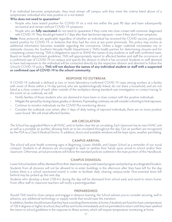If an individual becomes symptomatic, they must remain off campus until they meet the criteria listed above of a symptomatic individual who tests positive or is not tested.

#### **Who does not need to quarantine?**

- People who have tested positive for COVID-19 on a viral test within the past 90 days and have subsequently recovered and remain without COVID-19 symptoms.
- People who are **fully vaccinated** do not need to quarantine if they come into close contact with someone diagnosed with COVID-19. They should get tested 5-7 days after their last known exposure—even if they don't have symptoms.

**Note:** these protocols are applicable regardless of whether an individual has received the COVID vaccine, previously tested positive for COVID-19, or believes that they had the virus at any point previously. This policy may evolve as additional information becomes available regarding the coronavirus. Unless a larger outbreak necessitates city or statewide closures, the Southern Nevada Health Department is TMS's health partner for determining closures and for completing contact tracing. TMS is obligated to report to SNHD the names of any students or staff with confirmed cases. Based on health department guidelines, TMS will appropriately report to affected families and staff the occurrence of a confirmed case of COVID-19 on campus and specify the division in which it has occurred. Students or staff deemed to have had exposure to the individual will be contacted directly by the respective division and directed to follow the School's COVID-19 policy. **TMS will not disclose the names of any individual student or staff with a suspected or confirmed case of COVID-19 to the school community.**

## **RESPONSE TO OUTBREAK**

A COVID-19 outbreak is defined as two or more laboratory-confirmed COVID-19 cases among workers at a facility with onset of illness within a 14-day period, who are epidemiologically linked, do not share a household, and are not listed as a close contact of each other outside of the workplace during standard case investigation or contact tracing. In the event on an outbreak, we will:

- Notify families of those students who are deemed to have been in close contact with the positive individuals.
- Mitigate the spread by closing classes, grades, or divisions. If spreading continues, we will consider cohorting to limit exposure.
- Continue to monitor individuals via the COVID Plus monitoring device.
- Consider the outbreak over when, after 5 days of daily testing of exposed individuals, there are no more positive cases found. We will email affected families.

#### **AIR CIRCULATION**

The School has upgraded filters in all HVAC units to better clear the air circulating. Each classroom has its own HVAC unit as well as a portable air purifier, allowing fresh air to be circulated throughout the day. Our air purifiers are recognized by the FDA as a Class II Medical Device. In addition, doors and available windows will be kept open, weather permitting.

#### **CAMPUS ARRIVAL**

The school will post health screening signs in Beginning, Lower, Middle, and Upper School as a reminder of our social compact. Students in all divisions are encouraged to wash or sanitize their hands upon arrival to school and/or their classroom. Otherwise, arrival procedures will follow the standard policies outlined in the main portion of this Handbook.

#### **CAMPUS DISMISSAL**

Lower School students will be dismissed from their classrooms using a web-based program and picked up at a designated location. Students from all divisions will not be allowed to re-enter buildings in the afternoon after they have left for the day (unless there is a school sanctioned event) in order to facilitate daily cleaning campus-wide. Non-essential items left behind may be picked up the next day.

Students who develop a fever (100.4+) during the day will be dismissed from school early and need to return home. Front office staff or classroom teachers will notify a parent/guardian.

#### **PREPAREDNESS**

Should TMS need to close campus and engage in distance learning, the School advises you to consider securing, well in advance, any additional technology or supply needs that would ease this transition.

In addition, families should ensure that they have a working thermometer at home; if students are found to have a temperature of 100.4 degrees or higher at school, they will be sent home immediately and not permitted to return until they have satisfied the return to school guidelines in the response to illness section, which will require temperature monitoring at home.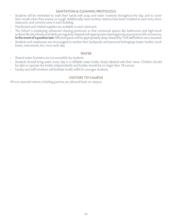#### **SANITATION & CLEANING PROTOCOLS**

- Students will be reminded to wash their hands with soap and water routinely throughout the day, and to cover their mouth when they sneeze or cough. Additionally, hand sanitizer stations have been installed at each entry door, classroom, and common area in each building.
- Disinfectant and related supplies are available in each classroom.
- The School is employing enhanced cleaning protocols so that communal spaces like bathrooms and high-touch surfaces like doorknobs and desks are regularly cleaned with appropriate cleaning products proven to kill coronavirus. **In the event of a positive test:** Affected spaces will be appropriately deep cleaned by TMS staff before use is resumed.
- Students and employees are encouraged to sanitize their backpacks and personal belongings (water bottles, lunch boxes, instruments, etc.) once each day.

#### **WATER**

- Shared water fountains are not accessible by students.
- Students should bring water every day in a refillable water bottle clearly labeled with their name. Children should be able to operate the bottle independently and bottles should be no larger than 18 ounces.
- Faculty and staff members will facilitate bottle refills for younger students.

# **VISITORS TO CAMPUS**

All non-essential visitors, including parents, are allowed back on campus.